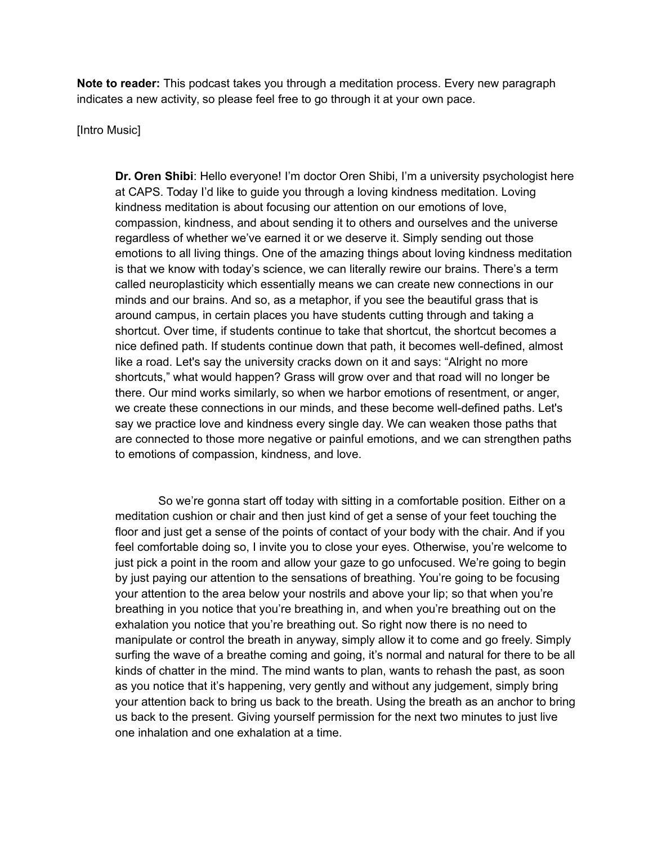**Note to reader:** This podcast takes you through a meditation process. Every new paragraph indicates a new activity, so please feel free to go through it at your own pace.

## [Intro Music]

**Dr. Oren Shibi**: Hello everyone! I'm doctor Oren Shibi, I'm a university psychologist here at CAPS. Today I'd like to guide you through a loving kindness meditation. Loving kindness meditation is about focusing our attention on our emotions of love, compassion, kindness, and about sending it to others and ourselves and the universe regardless of whether we've earned it or we deserve it. Simply sending out those emotions to all living things. One of the amazing things about loving kindness meditation is that we know with today's science, we can literally rewire our brains. There's a term called neuroplasticity which essentially means we can create new connections in our minds and our brains. And so, as a metaphor, if you see the beautiful grass that is around campus, in certain places you have students cutting through and taking a shortcut. Over time, if students continue to take that shortcut, the shortcut becomes a nice defined path. If students continue down that path, it becomes well-defined, almost like a road. Let's say the university cracks down on it and says: "Alright no more shortcuts," what would happen? Grass will grow over and that road will no longer be there. Our mind works similarly, so when we harbor emotions of resentment, or anger, we create these connections in our minds, and these become well-defined paths. Let's say we practice love and kindness every single day. We can weaken those paths that are connected to those more negative or painful emotions, and we can strengthen paths to emotions of compassion, kindness, and love.

So we're gonna start off today with sitting in a comfortable position. Either on a meditation cushion or chair and then just kind of get a sense of your feet touching the floor and just get a sense of the points of contact of your body with the chair. And if you feel comfortable doing so, I invite you to close your eyes. Otherwise, you're welcome to just pick a point in the room and allow your gaze to go unfocused. We're going to begin by just paying our attention to the sensations of breathing. You're going to be focusing your attention to the area below your nostrils and above your lip; so that when you're breathing in you notice that you're breathing in, and when you're breathing out on the exhalation you notice that you're breathing out. So right now there is no need to manipulate or control the breath in anyway, simply allow it to come and go freely. Simply surfing the wave of a breathe coming and going, it's normal and natural for there to be all kinds of chatter in the mind. The mind wants to plan, wants to rehash the past, as soon as you notice that it's happening, very gently and without any judgement, simply bring your attention back to bring us back to the breath. Using the breath as an anchor to bring us back to the present. Giving yourself permission for the next two minutes to just live one inhalation and one exhalation at a time.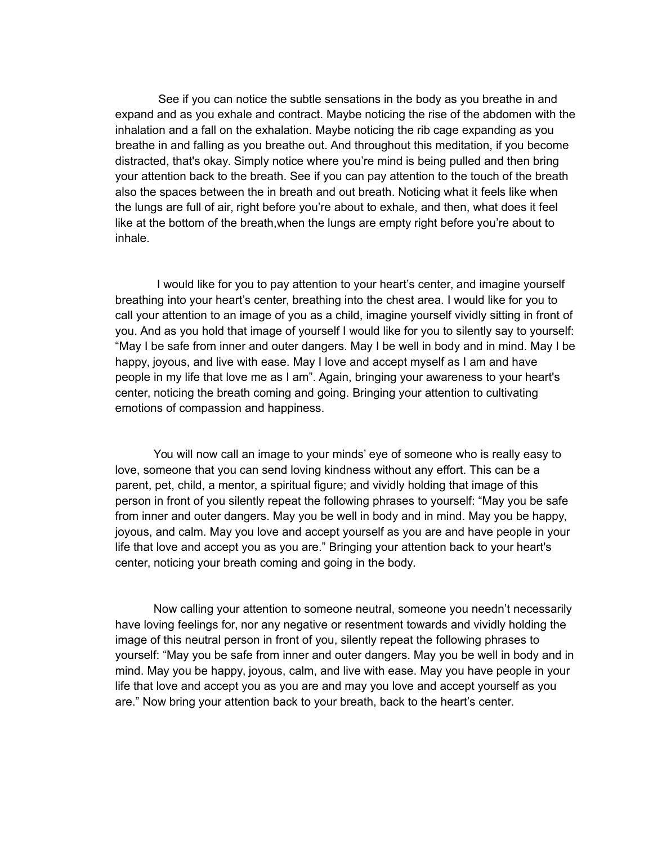See if you can notice the subtle sensations in the body as you breathe in and expand and as you exhale and contract. Maybe noticing the rise of the abdomen with the inhalation and a fall on the exhalation. Maybe noticing the rib cage expanding as you breathe in and falling as you breathe out. And throughout this meditation, if you become distracted, that's okay. Simply notice where you're mind is being pulled and then bring your attention back to the breath. See if you can pay attention to the touch of the breath also the spaces between the in breath and out breath. Noticing what it feels like when the lungs are full of air, right before you're about to exhale, and then, what does it feel like at the bottom of the breath,when the lungs are empty right before you're about to inhale.

 I would like for you to pay attention to your heart's center, and imagine yourself breathing into your heart's center, breathing into the chest area. I would like for you to call your attention to an image of you as a child, imagine yourself vividly sitting in front of you. And as you hold that image of yourself I would like for you to silently say to yourself: "May I be safe from inner and outer dangers. May I be well in body and in mind. May I be happy, joyous, and live with ease. May I love and accept myself as I am and have people in my life that love me as I am". Again, bringing your awareness to your heart's center, noticing the breath coming and going. Bringing your attention to cultivating emotions of compassion and happiness.

You will now call an image to your minds' eye of someone who is really easy to love, someone that you can send loving kindness without any effort. This can be a parent, pet, child, a mentor, a spiritual figure; and vividly holding that image of this person in front of you silently repeat the following phrases to yourself: "May you be safe from inner and outer dangers. May you be well in body and in mind. May you be happy, joyous, and calm. May you love and accept yourself as you are and have people in your life that love and accept you as you are." Bringing your attention back to your heart's center, noticing your breath coming and going in the body.

Now calling your attention to someone neutral, someone you needn't necessarily have loving feelings for, nor any negative or resentment towards and vividly holding the image of this neutral person in front of you, silently repeat the following phrases to yourself: "May you be safe from inner and outer dangers. May you be well in body and in mind. May you be happy, joyous, calm, and live with ease. May you have people in your life that love and accept you as you are and may you love and accept yourself as you are." Now bring your attention back to your breath, back to the heart's center.